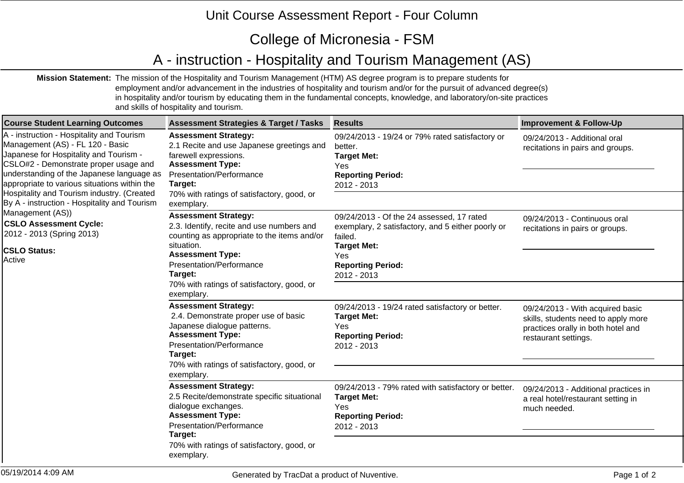## Unit Course Assessment Report - Four Column

## College of Micronesia - FSM

## A - instruction - Hospitality and Tourism Management (AS)

**Mission Statement:** The mission of the Hospitality and Tourism Management (HTM) AS degree program is to prepare students for employment and/or advancement in the industries of hospitality and tourism and/or for the pursuit of advanced degree(s) in hospitality and/or tourism by educating them in the fundamental concepts, knowledge, and laboratory/on-site practices and skills of hospitality and tourism.

| <b>Course Student Learning Outcomes</b>                                                                                                                                                                                                                                                                     | <b>Assessment Strategies &amp; Target / Tasks</b>                                                                                                                                            | <b>Results</b>                                                                                                                                                     | <b>Improvement &amp; Follow-Up</b>                                                                                                    |
|-------------------------------------------------------------------------------------------------------------------------------------------------------------------------------------------------------------------------------------------------------------------------------------------------------------|----------------------------------------------------------------------------------------------------------------------------------------------------------------------------------------------|--------------------------------------------------------------------------------------------------------------------------------------------------------------------|---------------------------------------------------------------------------------------------------------------------------------------|
| A - instruction - Hospitality and Tourism<br>Management (AS) - FL 120 - Basic<br>Japanese for Hospitality and Tourism -<br>CSLO#2 - Demonstrate proper usage and<br>understanding of the Japanese language as<br>appropriate to various situations within the<br>Hospitality and Tourism industry. (Created | <b>Assessment Strategy:</b><br>2.1 Recite and use Japanese greetings and<br>farewell expressions.<br><b>Assessment Type:</b><br>Presentation/Performance<br>Target:                          | 09/24/2013 - 19/24 or 79% rated satisfactory or<br>better.<br><b>Target Met:</b><br>Yes<br><b>Reporting Period:</b><br>2012 - 2013                                 | 09/24/2013 - Additional oral<br>recitations in pairs and groups.                                                                      |
| By A - instruction - Hospitality and Tourism                                                                                                                                                                                                                                                                | 70% with ratings of satisfactory, good, or<br>exemplary.                                                                                                                                     |                                                                                                                                                                    |                                                                                                                                       |
| Management (AS))<br><b>CSLO Assessment Cycle:</b><br>2012 - 2013 (Spring 2013)<br><b>CSLO Status:</b><br>Active                                                                                                                                                                                             | <b>Assessment Strategy:</b><br>2.3. Identify, recite and use numbers and<br>counting as appropriate to the items and/or<br>situation.<br><b>Assessment Type:</b><br>Presentation/Performance | 09/24/2013 - Of the 24 assessed, 17 rated<br>exemplary, 2 satisfactory, and 5 either poorly or<br>failed.<br><b>Target Met:</b><br>Yes<br><b>Reporting Period:</b> | 09/24/2013 - Continuous oral<br>recitations in pairs or groups.                                                                       |
|                                                                                                                                                                                                                                                                                                             | Target:                                                                                                                                                                                      | 2012 - 2013                                                                                                                                                        |                                                                                                                                       |
|                                                                                                                                                                                                                                                                                                             | 70% with ratings of satisfactory, good, or<br>exemplary.                                                                                                                                     |                                                                                                                                                                    |                                                                                                                                       |
|                                                                                                                                                                                                                                                                                                             | <b>Assessment Strategy:</b><br>2.4. Demonstrate proper use of basic<br>Japanese dialogue patterns.<br><b>Assessment Type:</b><br>Presentation/Performance<br>Target:                         | 09/24/2013 - 19/24 rated satisfactory or better.<br><b>Target Met:</b><br>Yes<br><b>Reporting Period:</b><br>2012 - 2013                                           | 09/24/2013 - With acquired basic<br>skills, students need to apply more<br>practices orally in both hotel and<br>restaurant settings. |
|                                                                                                                                                                                                                                                                                                             | 70% with ratings of satisfactory, good, or<br>exemplary.                                                                                                                                     |                                                                                                                                                                    |                                                                                                                                       |
|                                                                                                                                                                                                                                                                                                             | <b>Assessment Strategy:</b><br>2.5 Recite/demonstrate specific situational<br>dialogue exchanges.<br><b>Assessment Type:</b><br>Presentation/Performance<br>Target:                          | 09/24/2013 - 79% rated with satisfactory or better.<br><b>Target Met:</b><br>Yes<br><b>Reporting Period:</b><br>2012 - 2013                                        | 09/24/2013 - Additional practices in<br>a real hotel/restaurant setting in<br>much needed.                                            |
|                                                                                                                                                                                                                                                                                                             | 70% with ratings of satisfactory, good, or<br>exemplary.                                                                                                                                     |                                                                                                                                                                    |                                                                                                                                       |